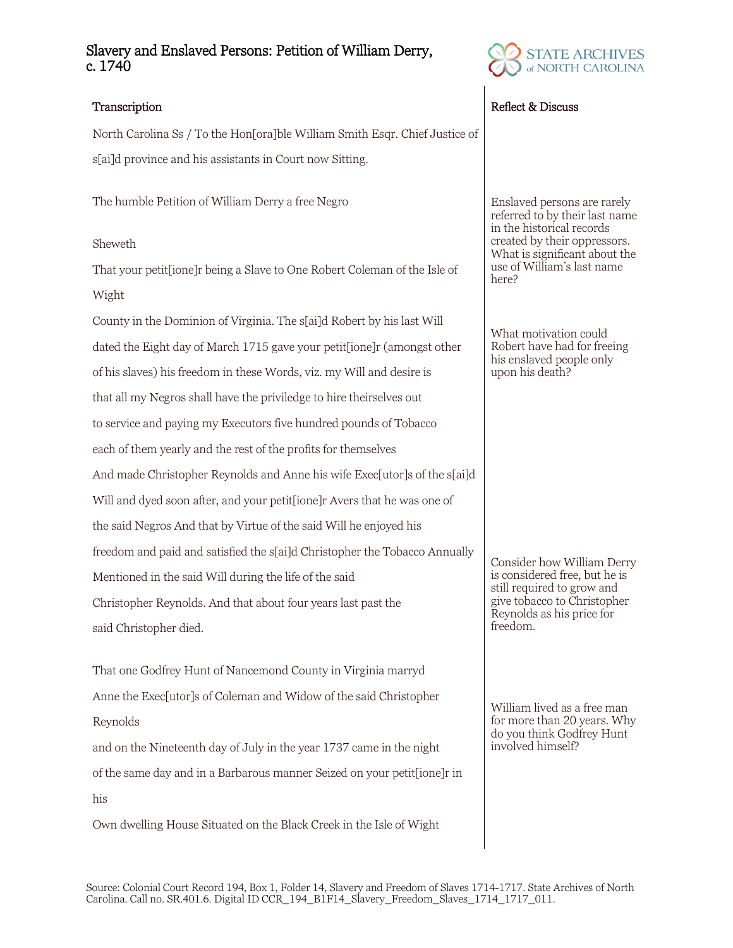# Slavery and Enslaved Persons: Petition of William Derry, c. 1740

North Carolina Ss / To the Hon[ora]ble William Smith Esqr. Chief Justice of s[ai]d province and his assistants in Court now Sitting.

The humble Petition of William Derry a free Negro

## Sheweth

That your petit[ione]r being a Slave to One Robert Coleman of the Isle of Wight

County in the Dominion of Virginia. The s[ai]d Robert by his last Will dated the Eight day of March 1715 gave your petit[ione]r (amongst other of his slaves) his freedom in these Words, viz. my Will and desire is that all my Negros shall have the priviledge to hire theirselves out to service and paying my Executors five hundred pounds of Tobacco each of them yearly and the rest of the profits for themselves And made Christopher Reynolds and Anne his wife Exec[utor]s of the s[ai]d Will and dyed soon after, and your petit[ione]r Avers that he was one of the said Negros And that by Virtue of the said Will he enjoyed his freedom and paid and satisfied the s[ai]d Christopher the Tobacco Annually Mentioned in the said Will during the life of the said Christopher Reynolds. And that about four years last past the said Christopher died.

That one Godfrey Hunt of Nancemond County in Virginia marryd Anne the Exec[utor]s of Coleman and Widow of the said Christopher Reynolds and on the Nineteenth day of July in the year 1737 came in the night of the same day and in a Barbarous manner Seized on your petit[ione]r in his

Own dwelling House Situated on the Black Creek in the Isle of Wight



## Transcription **Reflect & Discuss** Reflect & Discuss

Enslaved persons are rarely referred to by their last name in the historical records created by their oppressors. What is significant about the use of William's last name here?

What motivation could Robert have had for freeing his enslaved people only upon his death?

Consider how William Derry is considered free, but he is still required to grow and give tobacco to Christopher Reynolds as his price for freedom.

William lived as a free man for more than 20 years. Why do you think Godfrey Hunt involved himself?